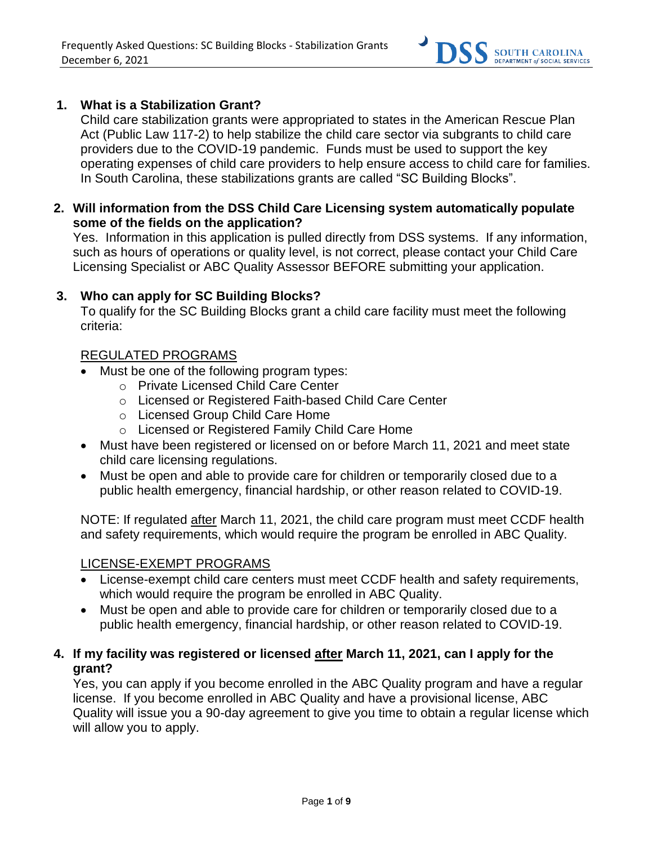

### **1. What is a Stabilization Grant?**

Child care stabilization grants were appropriated to states in the American Rescue Plan Act (Public Law 117-2) to help stabilize the child care sector via subgrants to child care providers due to the COVID-19 pandemic. Funds must be used to support the key operating expenses of child care providers to help ensure access to child care for families. In South Carolina, these stabilizations grants are called "SC Building Blocks".

**2. Will information from the DSS Child Care Licensing system automatically populate some of the fields on the application?**

Yes. Information in this application is pulled directly from DSS systems. If any information, such as hours of operations or quality level, is not correct, please contact your Child Care Licensing Specialist or ABC Quality Assessor BEFORE submitting your application.

#### **3. Who can apply for SC Building Blocks?**

To qualify for the SC Building Blocks grant a child care facility must meet the following criteria:

#### REGULATED PROGRAMS

- Must be one of the following program types:
	- o Private Licensed Child Care Center
	- o Licensed or Registered Faith-based Child Care Center
	- o Licensed Group Child Care Home
	- o Licensed or Registered Family Child Care Home
- Must have been registered or licensed on or before March 11, 2021 and meet state child care licensing regulations.
- Must be open and able to provide care for children or temporarily closed due to a public health emergency, financial hardship, or other reason related to COVID-19.

NOTE: If regulated after March 11, 2021, the child care program must meet CCDF health and safety requirements, which would require the program be enrolled in ABC Quality.

## LICENSE-EXEMPT PROGRAMS

- License-exempt child care centers must meet CCDF health and safety requirements, which would require the program be enrolled in ABC Quality.
- Must be open and able to provide care for children or temporarily closed due to a public health emergency, financial hardship, or other reason related to COVID-19.

## **4. If my facility was registered or licensed after March 11, 2021, can I apply for the grant?**

Yes, you can apply if you become enrolled in the ABC Quality program and have a regular license. If you become enrolled in ABC Quality and have a provisional license, ABC Quality will issue you a 90-day agreement to give you time to obtain a regular license which will allow you to apply.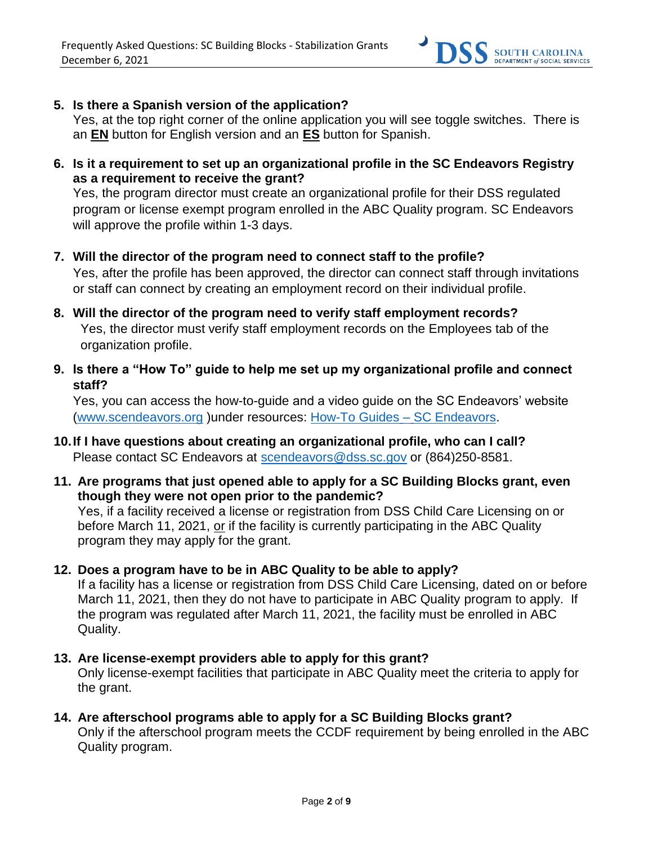

**5. Is there a Spanish version of the application?**

Yes, at the top right corner of the online application you will see toggle switches. There is an **EN** button for English version and an **ES** button for Spanish.

**6. Is it a requirement to set up an organizational profile in the SC Endeavors Registry as a requirement to receive the grant?**

Yes, the program director must create an organizational profile for their DSS regulated program or license exempt program enrolled in the ABC Quality program. SC Endeavors will approve the profile within 1-3 days.

- **7. Will the director of the program need to connect staff to the profile?** Yes, after the profile has been approved, the director can connect staff through invitations or staff can connect by creating an employment record on their individual profile.
- **8. Will the director of the program need to verify staff employment records?** Yes, the director must verify staff employment records on the Employees tab of the organization profile.
- **9. Is there a "How To" guide to help me set up my organizational profile and connect staff?**

Yes, you can access the how-to-guide and a video guide on the SC Endeavors' website [\(www.scendeavors.org](http://www.scendeavors.org/) )under resources: [How-To Guides](https://gcc02.safelinks.protection.outlook.com/?url=https%3A%2F%2Fwww.scendeavors.org%2Fresources%2Fhow-to-guides%2F&data=04%7C01%7CMichelle.Bowers%40dss.sc.gov%7C230d22efce284f28b1a508d9ab7acdff%7Ca1336f6957094f66804f862751e705bb%7C0%7C1%7C637729366207755415%7CUnknown%7CTWFpbGZsb3d8eyJWIjoiMC4wLjAwMDAiLCJQIjoiV2luMzIiLCJBTiI6Ik1haWwiLCJXVCI6Mn0%3D%7C1000&sdata=xxD3OwFpQKJ2YUciBC3KjHfB2M8p2JXjKhB0aP5M50k%3D&reserved=0) – SC Endeavors.

- **10.If I have questions about creating an organizational profile, who can I call?** Please contact SC Endeavors at [scendeavors@dss.sc.gov](mailto:scendeavors@dss.sc.gov) or (864)250-8581.
- **11. Are programs that just opened able to apply for a SC Building Blocks grant, even though they were not open prior to the pandemic?**

Yes, if a facility received a license or registration from DSS Child Care Licensing on or before March 11, 2021, or if the facility is currently participating in the ABC Quality program they may apply for the grant.

**12. Does a program have to be in ABC Quality to be able to apply?** 

If a facility has a license or registration from DSS Child Care Licensing, dated on or before March 11, 2021, then they do not have to participate in ABC Quality program to apply. If the program was regulated after March 11, 2021, the facility must be enrolled in ABC Quality.

- **13. Are license-exempt providers able to apply for this grant?**  Only license-exempt facilities that participate in ABC Quality meet the criteria to apply for the grant.
- **14. Are afterschool programs able to apply for a SC Building Blocks grant?** Only if the afterschool program meets the CCDF requirement by being enrolled in the ABC Quality program.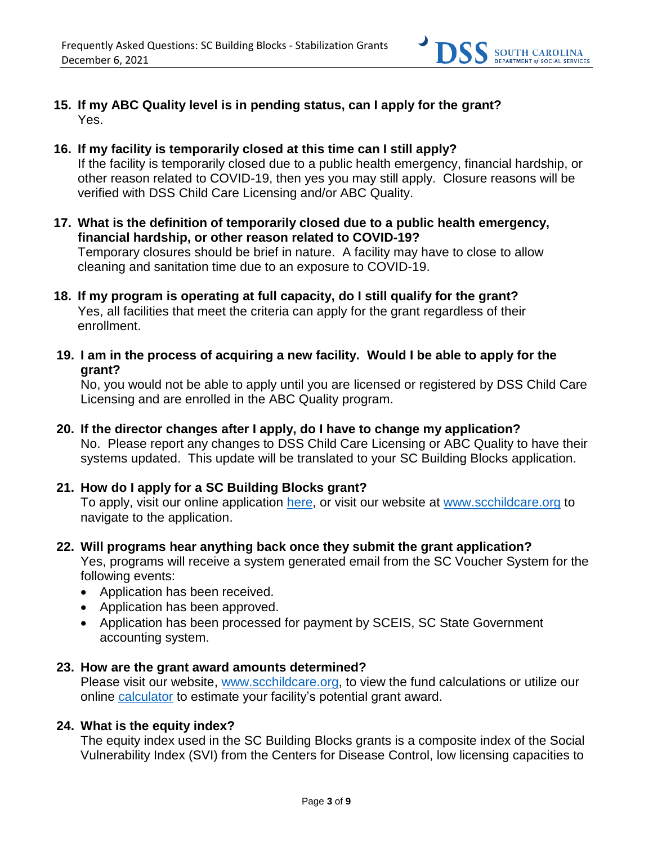

- **15. If my ABC Quality level is in pending status, can I apply for the grant?**  Yes.
- **16. If my facility is temporarily closed at this time can I still apply?**  If the facility is temporarily closed due to a public health emergency, financial hardship, or other reason related to COVID-19, then yes you may still apply. Closure reasons will be verified with DSS Child Care Licensing and/or ABC Quality.
- **17. What is the definition of temporarily closed due to a public health emergency, financial hardship, or other reason related to COVID-19?** Temporary closures should be brief in nature. A facility may have to close to allow cleaning and sanitation time due to an exposure to COVID-19.
- **18. If my program is operating at full capacity, do I still qualify for the grant?**  Yes, all facilities that meet the criteria can apply for the grant regardless of their enrollment.
- **19. I am in the process of acquiring a new facility. Would I be able to apply for the grant?**

No, you would not be able to apply until you are licensed or registered by DSS Child Care Licensing and are enrolled in the ABC Quality program.

**20. If the director changes after I apply, do I have to change my application?**  No. Please report any changes to DSS Child Care Licensing or ABC Quality to have their systems updated. This update will be translated to your SC Building Blocks application.

## **21. How do I apply for a SC Building Blocks grant?**

To apply, visit our online application [here,](https://providerportal.dss.sc.gov/#/dece/provider-grants/building-blocks) or visit our website at [www.scchildcare.org](http://www.scchildcare.org/) to navigate to the application.

- **22. Will programs hear anything back once they submit the grant application?** Yes, programs will receive a system generated email from the SC Voucher System for the following events:
	- Application has been received.
	- Application has been approved.
	- Application has been processed for payment by SCEIS, SC State Government accounting system.

#### **23. How are the grant award amounts determined?**

Please visit our website, [www.scchildcare.org,](http://www.scchildcare.org/) to view the fund calculations or utilize our online [calculator](https://providerportal.dss.sc.gov/#/dece/provider-grants/building-blocks-calculator) to estimate your facility's potential grant award.

## **24. What is the equity index?**

The equity index used in the SC Building Blocks grants is a composite index of the Social Vulnerability Index (SVI) from the Centers for Disease Control, low licensing capacities to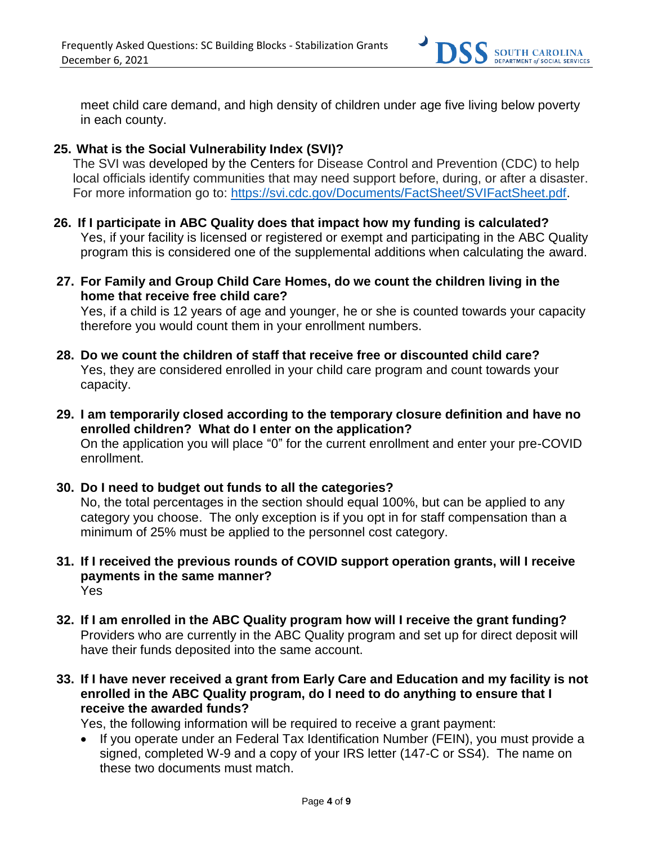

meet child care demand, and high density of children under age five living below poverty in each county.

### **25. What is the Social Vulnerability Index (SVI)?**

The SVI was [developed by the](https://www.atsdr.cdc.gov/placeandhealth/svi/index.html) Centers for Disease Control and Prevention (CDC) to help local officials identify communities that may need support before, during, or after a disaster. For more information go to: [https://svi.cdc.gov/Documents/FactSheet/SVIFactSheet.pdf.](https://svi.cdc.gov/Documents/FactSheet/SVIFactSheet.pdf)

- **26. If I participate in ABC Quality does that impact how my funding is calculated?**  Yes, if your facility is licensed or registered or exempt and participating in the ABC Quality program this is considered one of the supplemental additions when calculating the award.
- **27. For Family and Group Child Care Homes, do we count the children living in the home that receive free child care?**

Yes, if a child is 12 years of age and younger, he or she is counted towards your capacity therefore you would count them in your enrollment numbers.

- **28. Do we count the children of staff that receive free or discounted child care?** Yes, they are considered enrolled in your child care program and count towards your capacity.
- **29. I am temporarily closed according to the temporary closure definition and have no enrolled children? What do I enter on the application?**  On the application you will place "0" for the current enrollment and enter your pre-COVID enrollment.
- **30. Do I need to budget out funds to all the categories?** No, the total percentages in the section should equal 100%, but can be applied to any category you choose. The only exception is if you opt in for staff compensation than a minimum of 25% must be applied to the personnel cost category.
- **31. If I received the previous rounds of COVID support operation grants, will I receive payments in the same manner?** Yes
- **32. If I am enrolled in the ABC Quality program how will I receive the grant funding?** Providers who are currently in the ABC Quality program and set up for direct deposit will have their funds deposited into the same account.
- **33. If I have never received a grant from Early Care and Education and my facility is not enrolled in the ABC Quality program, do I need to do anything to ensure that I receive the awarded funds?**

Yes, the following information will be required to receive a grant payment:

• If you operate under an Federal Tax Identification Number (FEIN), you must provide a signed, completed W-9 and a copy of your IRS letter (147-C or SS4). The name on these two documents must match.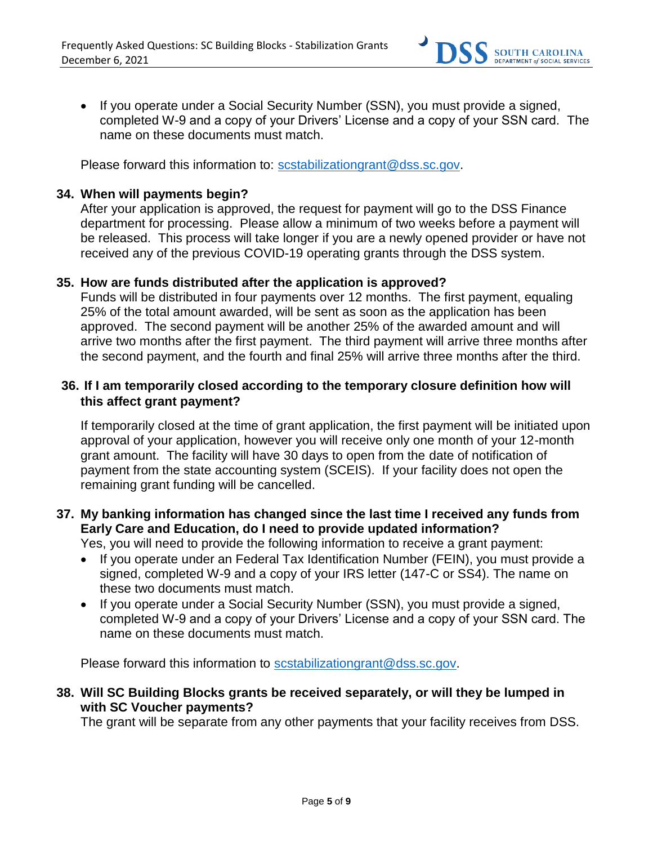

• If you operate under a Social Security Number (SSN), you must provide a signed, completed W-9 and a copy of your Drivers' License and a copy of your SSN card. The name on these documents must match.

Please forward this information to: [scstabilizationgrant@dss.sc.gov.](mailto:scstabilizationgrant@dss.sc.gov)

#### **34. When will payments begin?**

After your application is approved, the request for payment will go to the DSS Finance department for processing. Please allow a minimum of two weeks before a payment will be released. This process will take longer if you are a newly opened provider or have not received any of the previous COVID-19 operating grants through the DSS system.

#### **35. How are funds distributed after the application is approved?**

Funds will be distributed in four payments over 12 months. The first payment, equaling 25% of the total amount awarded, will be sent as soon as the application has been approved. The second payment will be another 25% of the awarded amount and will arrive two months after the first payment. The third payment will arrive three months after the second payment, and the fourth and final 25% will arrive three months after the third.

## **36. If I am temporarily closed according to the temporary closure definition how will this affect grant payment?**

If temporarily closed at the time of grant application, the first payment will be initiated upon approval of your application, however you will receive only one month of your 12-month grant amount. The facility will have 30 days to open from the date of notification of payment from the state accounting system (SCEIS). If your facility does not open the remaining grant funding will be cancelled.

# **37. My banking information has changed since the last time I received any funds from Early Care and Education, do I need to provide updated information?**

Yes, you will need to provide the following information to receive a grant payment:

- If you operate under an Federal Tax Identification Number (FEIN), you must provide a signed, completed W-9 and a copy of your IRS letter (147-C or SS4). The name on these two documents must match.
- If you operate under a Social Security Number (SSN), you must provide a signed, completed W-9 and a copy of your Drivers' License and a copy of your SSN card. The name on these documents must match.

Please forward this information to [scstabilizationgrant@dss.sc.gov.](mailto:scstabilizationgrant@dss.sc.gov)

## **38. Will SC Building Blocks grants be received separately, or will they be lumped in with SC Voucher payments?**

The grant will be separate from any other payments that your facility receives from DSS.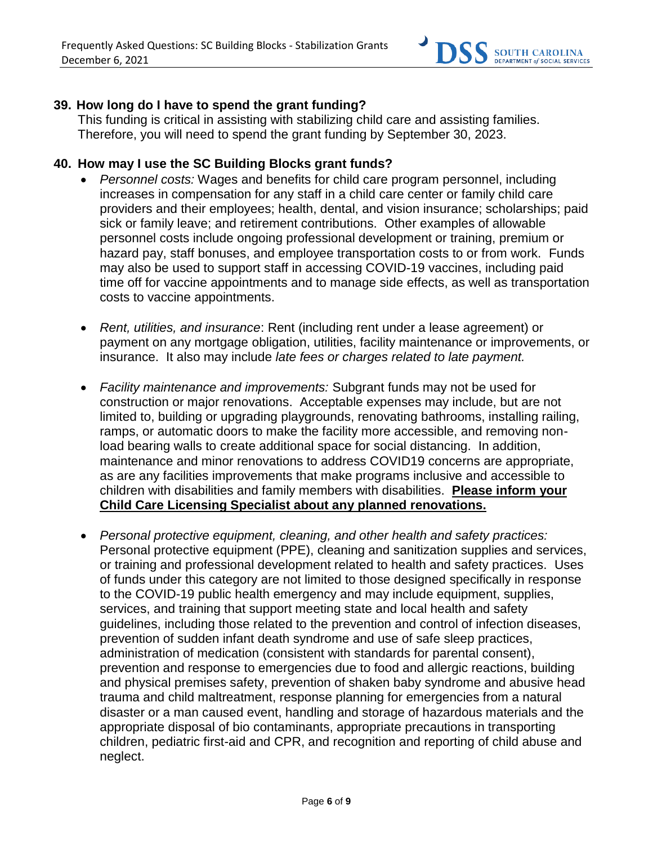

## **39. How long do I have to spend the grant funding?**

This funding is critical in assisting with stabilizing child care and assisting families. Therefore, you will need to spend the grant funding by September 30, 2023.

#### **40. How may I use the SC Building Blocks grant funds?**

- *Personnel costs:* Wages and benefits for child care program personnel, including increases in compensation for any staff in a child care center or family child care providers and their employees; health, dental, and vision insurance; scholarships; paid sick or family leave; and retirement contributions. Other examples of allowable personnel costs include ongoing professional development or training, premium or hazard pay, staff bonuses, and employee transportation costs to or from work. Funds may also be used to support staff in accessing COVID-19 vaccines, including paid time off for vaccine appointments and to manage side effects, as well as transportation costs to vaccine appointments.
- *Rent, utilities, and insurance*: Rent (including rent under a lease agreement) or payment on any mortgage obligation, utilities, facility maintenance or improvements, or insurance. It also may include *late fees or charges related to late payment.*
- *Facility maintenance and improvements:* Subgrant funds may not be used for construction or major renovations. Acceptable expenses may include, but are not limited to, building or upgrading playgrounds, renovating bathrooms, installing railing, ramps, or automatic doors to make the facility more accessible, and removing nonload bearing walls to create additional space for social distancing. In addition, maintenance and minor renovations to address COVID19 concerns are appropriate, as are any facilities improvements that make programs inclusive and accessible to children with disabilities and family members with disabilities. **Please inform your Child Care Licensing Specialist about any planned renovations.**
- *Personal protective equipment, cleaning, and other health and safety practices:* Personal protective equipment (PPE), cleaning and sanitization supplies and services, or training and professional development related to health and safety practices. Uses of funds under this category are not limited to those designed specifically in response to the COVID-19 public health emergency and may include equipment, supplies, services, and training that support meeting state and local health and safety guidelines, including those related to the prevention and control of infection diseases, prevention of sudden infant death syndrome and use of safe sleep practices, administration of medication (consistent with standards for parental consent), prevention and response to emergencies due to food and allergic reactions, building and physical premises safety, prevention of shaken baby syndrome and abusive head trauma and child maltreatment, response planning for emergencies from a natural disaster or a man caused event, handling and storage of hazardous materials and the appropriate disposal of bio contaminants, appropriate precautions in transporting children, pediatric first-aid and CPR, and recognition and reporting of child abuse and neglect.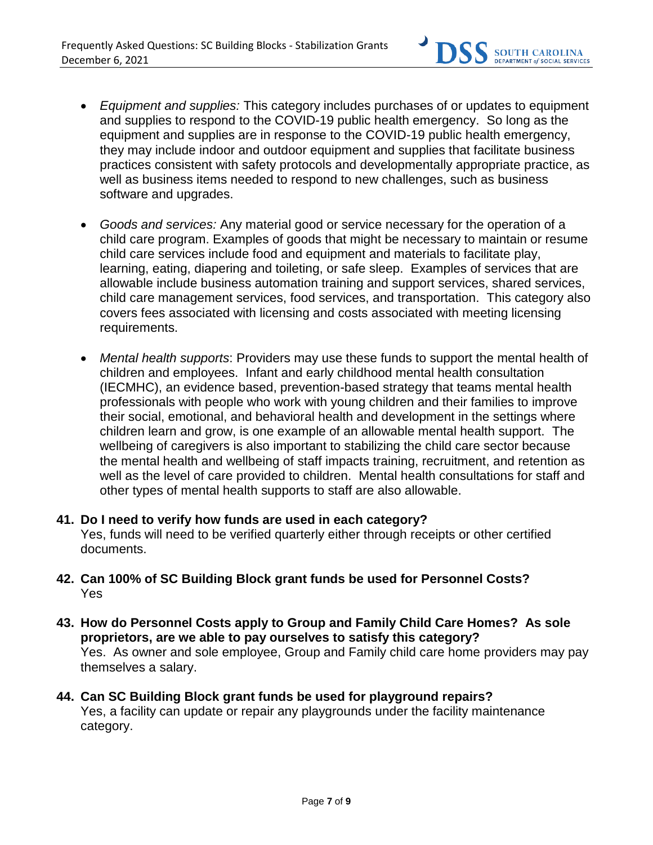

- *Equipment and supplies:* This category includes purchases of or updates to equipment and supplies to respond to the COVID-19 public health emergency. So long as the equipment and supplies are in response to the COVID-19 public health emergency, they may include indoor and outdoor equipment and supplies that facilitate business practices consistent with safety protocols and developmentally appropriate practice, as well as business items needed to respond to new challenges, such as business software and upgrades.
- *Goods and services:* Any material good or service necessary for the operation of a child care program. Examples of goods that might be necessary to maintain or resume child care services include food and equipment and materials to facilitate play, learning, eating, diapering and toileting, or safe sleep. Examples of services that are allowable include business automation training and support services, shared services, child care management services, food services, and transportation. This category also covers fees associated with licensing and costs associated with meeting licensing requirements.
- *Mental health supports*: Providers may use these funds to support the mental health of children and employees. Infant and early childhood mental health consultation (IECMHC), an evidence based, prevention-based strategy that teams mental health professionals with people who work with young children and their families to improve their social, emotional, and behavioral health and development in the settings where children learn and grow, is one example of an allowable mental health support. The wellbeing of caregivers is also important to stabilizing the child care sector because the mental health and wellbeing of staff impacts training, recruitment, and retention as well as the level of care provided to children. Mental health consultations for staff and other types of mental health supports to staff are also allowable.

# **41. Do I need to verify how funds are used in each category?** Yes, funds will need to be verified quarterly either through receipts or other certified documents.

- **42. Can 100% of SC Building Block grant funds be used for Personnel Costs?** Yes
- **43. How do Personnel Costs apply to Group and Family Child Care Homes? As sole proprietors, are we able to pay ourselves to satisfy this category?**  Yes. As owner and sole employee, Group and Family child care home providers may pay themselves a salary.
- **44. Can SC Building Block grant funds be used for playground repairs?**  Yes, a facility can update or repair any playgrounds under the facility maintenance category.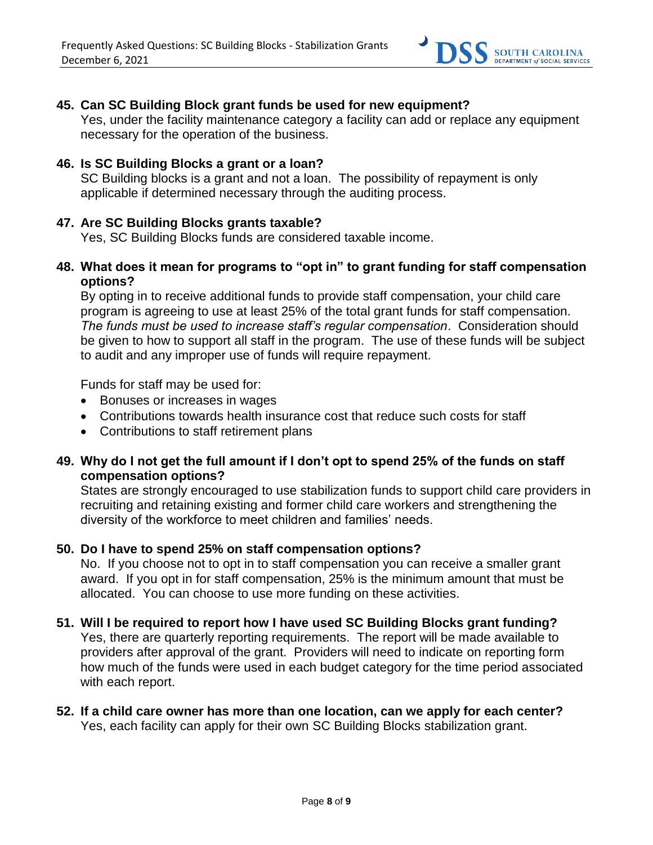

# **45. Can SC Building Block grant funds be used for new equipment?**

Yes, under the facility maintenance category a facility can add or replace any equipment necessary for the operation of the business.

#### **46. Is SC Building Blocks a grant or a loan?**

SC Building blocks is a grant and not a loan. The possibility of repayment is only applicable if determined necessary through the auditing process.

#### **47. Are SC Building Blocks grants taxable?**

Yes, SC Building Blocks funds are considered taxable income.

## **48. What does it mean for programs to "opt in" to grant funding for staff compensation options?**

By opting in to receive additional funds to provide staff compensation, your child care program is agreeing to use at least 25% of the total grant funds for staff compensation. *The funds must be used to increase staff's regular compensation*. Consideration should be given to how to support all staff in the program. The use of these funds will be subject to audit and any improper use of funds will require repayment.

Funds for staff may be used for:

- Bonuses or increases in wages
- Contributions towards health insurance cost that reduce such costs for staff
- Contributions to staff retirement plans

## **49. Why do I not get the full amount if I don't opt to spend 25% of the funds on staff compensation options?**

States are strongly encouraged to use stabilization funds to support child care providers in recruiting and retaining existing and former child care workers and strengthening the diversity of the workforce to meet children and families' needs.

## **50. Do I have to spend 25% on staff compensation options?**

No. If you choose not to opt in to staff compensation you can receive a smaller grant award. If you opt in for staff compensation, 25% is the minimum amount that must be allocated. You can choose to use more funding on these activities.

## **51. Will I be required to report how I have used SC Building Blocks grant funding?**

Yes, there are quarterly reporting requirements. The report will be made available to providers after approval of the grant. Providers will need to indicate on reporting form how much of the funds were used in each budget category for the time period associated with each report.

#### **52. If a child care owner has more than one location, can we apply for each center?**  Yes, each facility can apply for their own SC Building Blocks stabilization grant.